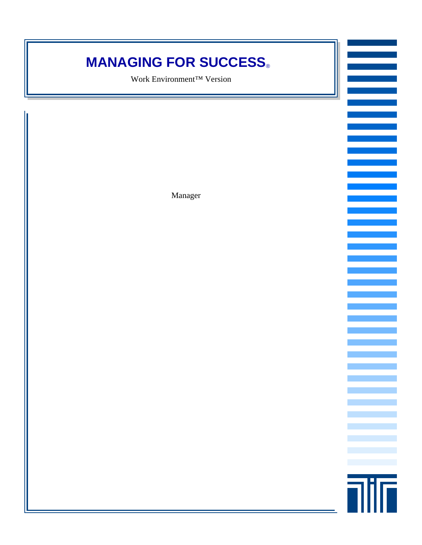### **MANAGING FOR SUCCESS®**

Work Environment™ Version

<u>film</u>

Manager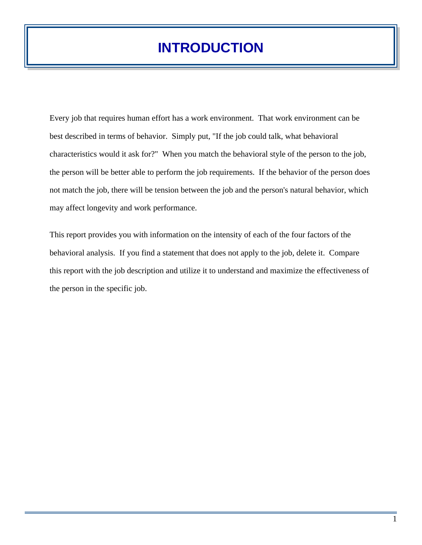### **INTRODUCTION**

Every job that requires human effort has a work environment. That work environment can be best described in terms of behavior. Simply put, "If the job could talk, what behavioral characteristics would it ask for?" When you match the behavioral style of the person to the job, the person will be better able to perform the job requirements. If the behavior of the person does not match the job, there will be tension between the job and the person's natural behavior, which may affect longevity and work performance.

This report provides you with information on the intensity of each of the four factors of the behavioral analysis. If you find a statement that does not apply to the job, delete it. Compare this report with the job description and utilize it to understand and maximize the effectiveness of the person in the specific job.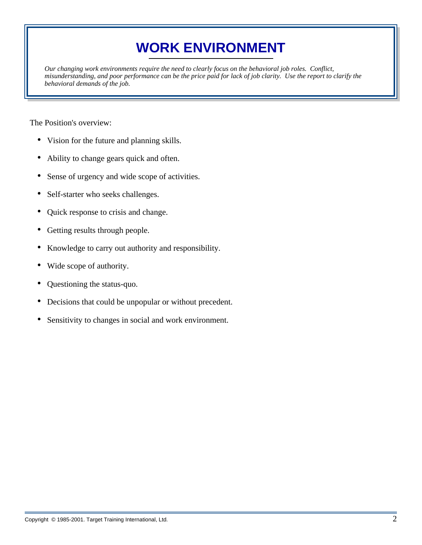# **WORK ENVIRONMENT**

*Our changing work environments require the need to clearly focus on the behavioral job roles. Conflict, misunderstanding, and poor performance can be the price paid for lack of job clarity. Use the report to clarify the behavioral demands of the job.* 

The Position's overview:

- Vision for the future and planning skills.
- Ability to change gears quick and often.
- Sense of urgency and wide scope of activities.
- Self-starter who seeks challenges.
- Quick response to crisis and change.
- Getting results through people.
- Knowledge to carry out authority and responsibility.
- Wide scope of authority.
- Questioning the status-quo.
- Decisions that could be unpopular or without precedent.
- Sensitivity to changes in social and work environment.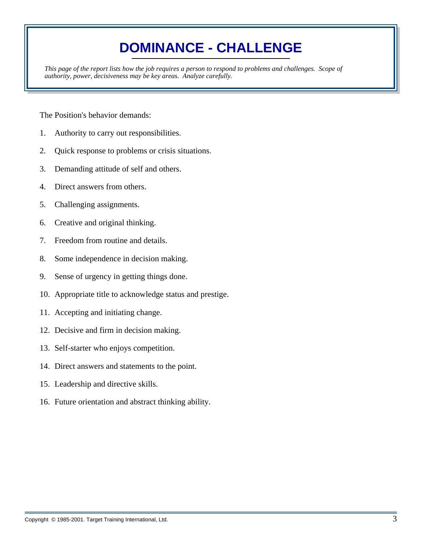## **DOMINANCE - CHALLENGE**

*This page of the report lists how the job requires a person to respond to problems and challenges. Scope of authority, power, decisiveness may be key areas. Analyze carefully.* 

- 1. Authority to carry out responsibilities.
- 2. Quick response to problems or crisis situations.
- 3. Demanding attitude of self and others.
- 4. Direct answers from others.
- 5. Challenging assignments.
- 6. Creative and original thinking.
- 7. Freedom from routine and details.
- 8. Some independence in decision making.
- 9. Sense of urgency in getting things done.
- 10. Appropriate title to acknowledge status and prestige.
- 11. Accepting and initiating change.
- 12. Decisive and firm in decision making.
- 13. Self-starter who enjoys competition.
- 14. Direct answers and statements to the point.
- 15. Leadership and directive skills.
- 16. Future orientation and abstract thinking ability.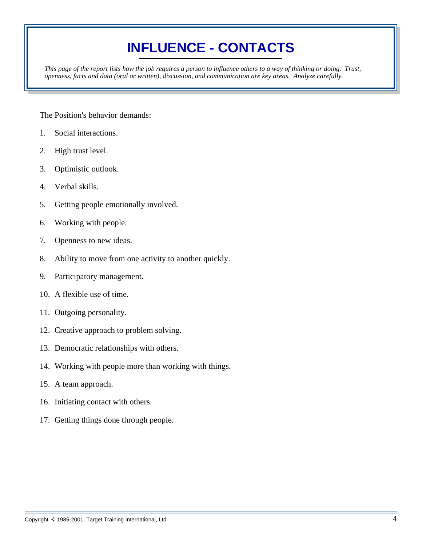# **INFLUENCE - CONTACTS**

*This page of the report lists how the job requires a person to influence others to a way of thinking or doing. Trust, openness, facts and data (oral or written), discussion, and communication are key areas. Analyze carefully.* 

- 1. Social interactions.
- 2. High trust level.
- 3. Optimistic outlook.
- 4. Verbal skills.
- 5. Getting people emotionally involved.
- 6. Working with people.
- 7. Openness to new ideas.
- 8. Ability to move from one activity to another quickly.
- 9. Participatory management.
- 10. A flexible use of time.
- 11. Outgoing personality.
- 12. Creative approach to problem solving.
- 13. Democratic relationships with others.
- 14. Working with people more than working with things.
- 15. A team approach.
- 16. Initiating contact with others.
- 17. Getting things done through people.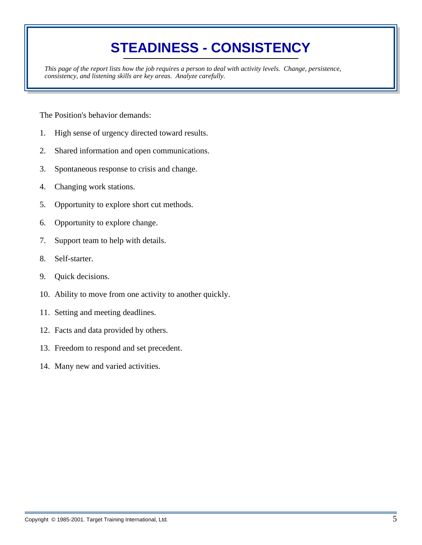## **STEADINESS - CONSISTENCY**

*This page of the report lists how the job requires a person to deal with activity levels. Change, persistence, consistency, and listening skills are key areas. Analyze carefully.* 

- 1. High sense of urgency directed toward results.
- 2. Shared information and open communications.
- 3. Spontaneous response to crisis and change.
- 4. Changing work stations.
- 5. Opportunity to explore short cut methods.
- 6. Opportunity to explore change.
- 7. Support team to help with details.
- 8. Self-starter.
- 9. Quick decisions.
- 10. Ability to move from one activity to another quickly.
- 11. Setting and meeting deadlines.
- 12. Facts and data provided by others.
- 13. Freedom to respond and set precedent.
- 14. Many new and varied activities.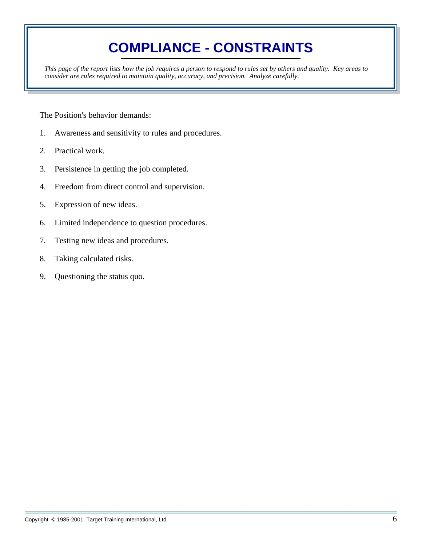# **COMPLIANCE - CONSTRAINTS**

*This page of the report lists how the job requires a person to respond to rules set by others and quality. Key areas to consider are rules required to maintain quality, accuracy, and precision. Analyze carefully.* 

- 1. Awareness and sensitivity to rules and procedures.
- 2. Practical work.
- 3. Persistence in getting the job completed.
- 4. Freedom from direct control and supervision.
- 5. Expression of new ideas.
- 6. Limited independence to question procedures.
- 7. Testing new ideas and procedures.
- 8. Taking calculated risks.
- 9. Questioning the status quo.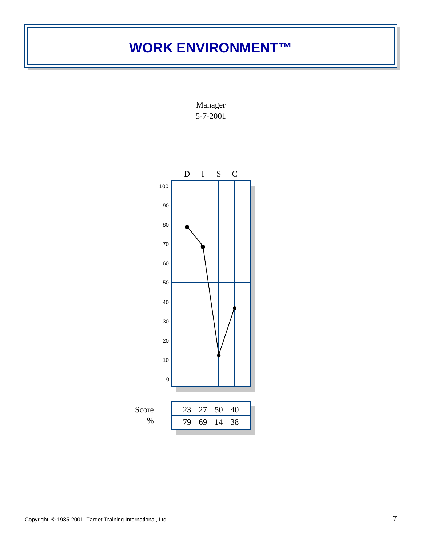### **WORK ENVIRONMENT™**